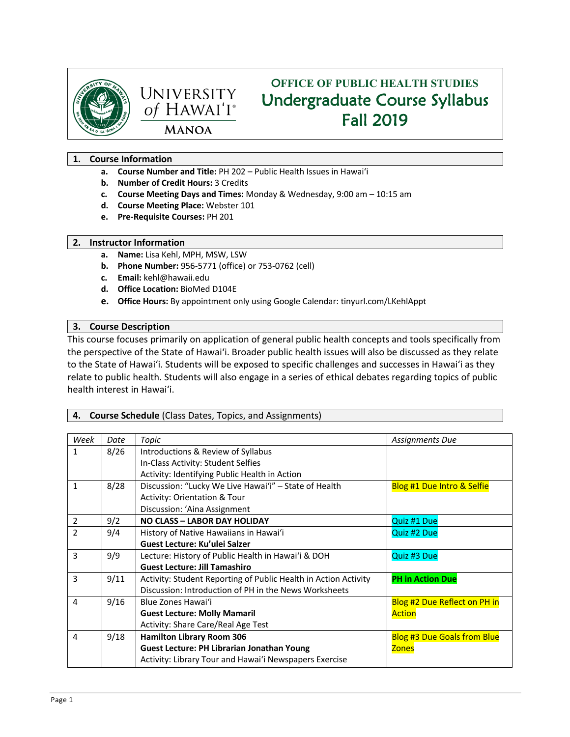



# O**FFICE OF PUBLIC HEALTH STUDIES** Undergraduate Course Syllabus Fall 2019

# **1. Course Information**

- **a. Course Number and Title:** PH 202 Public Health Issues in Hawai'i
- **b. Number of Credit Hours:** 3 Credits
- **c. Course Meeting Days and Times:** Monday & Wednesday, 9:00 am 10:15 am
- **d. Course Meeting Place:** Webster 101
- **e. Pre-Requisite Courses:** PH 201

# **2. Instructor Information**

- **a. Name:** Lisa Kehl, MPH, MSW, LSW
- **b. Phone Number:** 956-5771 (office) or 753-0762 (cell)
- **c. Email:** kehl@hawaii.edu
- **d. Office Location:** BioMed D104E
- **e. Office Hours:** By appointment only using Google Calendar: tinyurl.com/LKehlAppt

## **3. Course Description**

This course focuses primarily on application of general public health concepts and tools specifically from the perspective of the State of Hawai'i. Broader public health issues will also be discussed as they relate to the State of Hawai'i. Students will be exposed to specific challenges and successes in Hawai'i as they relate to public health. Students will also engage in a series of ethical debates regarding topics of public health interest in Hawai'i.

# **4. Course Schedule** (Class Dates, Topics, and Assignments)

| Week           | Date | Topic                                                           | Assignments Due                       |
|----------------|------|-----------------------------------------------------------------|---------------------------------------|
| 1              | 8/26 | Introductions & Review of Syllabus                              |                                       |
|                |      | In-Class Activity: Student Selfies                              |                                       |
|                |      | Activity: Identifying Public Health in Action                   |                                       |
| 1              | 8/28 | Discussion: "Lucky We Live Hawai'i" - State of Health           | <b>Blog #1 Due Intro &amp; Selfie</b> |
|                |      | <b>Activity: Orientation &amp; Tour</b>                         |                                       |
|                |      | Discussion: 'Aina Assignment                                    |                                       |
| $\overline{2}$ | 9/2  | <b>NO CLASS - LABOR DAY HOLIDAY</b>                             | Quiz #1 Due                           |
| $\overline{2}$ | 9/4  | History of Native Hawaiians in Hawai'i                          | Quiz #2 Due                           |
|                |      | Guest Lecture: Ku'ulei Salzer                                   |                                       |
| 3              | 9/9  | Lecture: History of Public Health in Hawai'i & DOH              | Quiz #3 Due                           |
|                |      | <b>Guest Lecture: Jill Tamashiro</b>                            |                                       |
| 3              | 9/11 | Activity: Student Reporting of Public Health in Action Activity | <b>PH in Action Due</b>               |
|                |      | Discussion: Introduction of PH in the News Worksheets           |                                       |
| 4              | 9/16 | Blue Zones Hawai'i                                              | Blog #2 Due Reflect on PH in          |
|                |      | <b>Guest Lecture: Molly Mamaril</b>                             | <b>Action</b>                         |
|                |      | Activity: Share Care/Real Age Test                              |                                       |
| 4              | 9/18 | <b>Hamilton Library Room 306</b>                                | <b>Blog #3 Due Goals from Blue</b>    |
|                |      | <b>Guest Lecture: PH Librarian Jonathan Young</b>               | <b>Zones</b>                          |
|                |      | Activity: Library Tour and Hawai'i Newspapers Exercise          |                                       |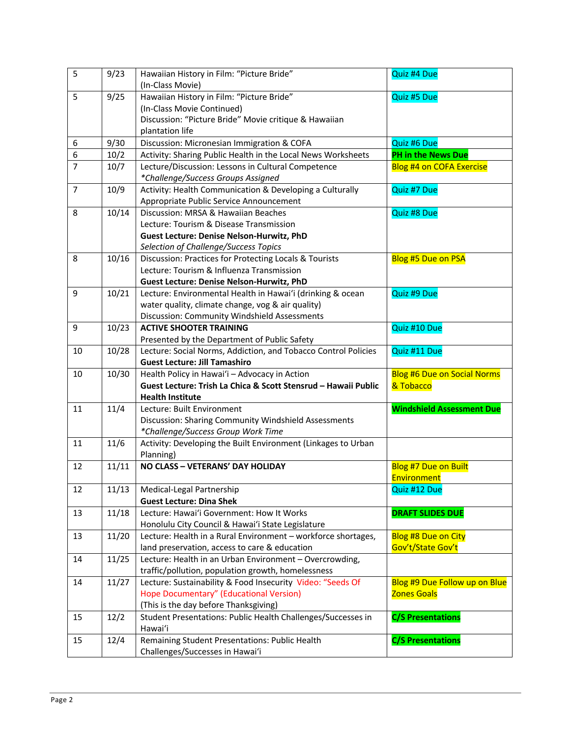| 5              | 9/23  | Hawaiian History in Film: "Picture Bride"                      | Quiz #4 Due                         |
|----------------|-------|----------------------------------------------------------------|-------------------------------------|
|                |       | (In-Class Movie)                                               |                                     |
| 5              | 9/25  | Hawaiian History in Film: "Picture Bride"                      | Quiz #5 Due                         |
|                |       | (In-Class Movie Continued)                                     |                                     |
|                |       | Discussion: "Picture Bride" Movie critique & Hawaiian          |                                     |
|                |       | plantation life                                                |                                     |
| 6              | 9/30  | Discussion: Micronesian Immigration & COFA                     | Quiz #6 Due                         |
| 6              | 10/2  | Activity: Sharing Public Health in the Local News Worksheets   | PH in the News Due                  |
| $\overline{7}$ | 10/7  | Lecture/Discussion: Lessons in Cultural Competence             | <b>Blog #4 on COFA Exercise</b>     |
|                |       | *Challenge/Success Groups Assigned                             |                                     |
| $\overline{7}$ | 10/9  | Activity: Health Communication & Developing a Culturally       | Quiz #7 Due                         |
|                |       | Appropriate Public Service Announcement                        |                                     |
| 8              | 10/14 | Discussion: MRSA & Hawaiian Beaches                            | Quiz #8 Due                         |
|                |       | Lecture: Tourism & Disease Transmission                        |                                     |
|                |       | <b>Guest Lecture: Denise Nelson-Hurwitz, PhD</b>               |                                     |
|                |       | Selection of Challenge/Success Topics                          |                                     |
| 8              | 10/16 | Discussion: Practices for Protecting Locals & Tourists         | <b>Blog #5 Due on PSA</b>           |
|                |       | Lecture: Tourism & Influenza Transmission                      |                                     |
|                |       | <b>Guest Lecture: Denise Nelson-Hurwitz, PhD</b>               |                                     |
| 9              | 10/21 | Lecture: Environmental Health in Hawai'i (drinking & ocean     | Quiz #9 Due                         |
|                |       | water quality, climate change, vog & air quality)              |                                     |
|                |       | Discussion: Community Windshield Assessments                   |                                     |
| 9              | 10/23 | <b>ACTIVE SHOOTER TRAINING</b>                                 | Quiz #10 Due                        |
|                |       | Presented by the Department of Public Safety                   |                                     |
| 10             | 10/28 | Lecture: Social Norms, Addiction, and Tobacco Control Policies | Quiz #11 Due                        |
|                |       | <b>Guest Lecture: Jill Tamashiro</b>                           |                                     |
| 10             | 10/30 | Health Policy in Hawai'i - Advocacy in Action                  | <b>Blog #6 Due on Social Norms</b>  |
|                |       | Guest Lecture: Trish La Chica & Scott Stensrud - Hawaii Public | & Tobacco                           |
|                |       | <b>Health Institute</b>                                        |                                     |
| 11             | 11/4  | Lecture: Built Environment                                     | <b>Windshield Assessment Due</b>    |
|                |       | Discussion: Sharing Community Windshield Assessments           |                                     |
|                |       | *Challenge/Success Group Work Time                             |                                     |
| 11             | 11/6  | Activity: Developing the Built Environment (Linkages to Urban  |                                     |
|                | 11/11 | Planning)<br>NO CLASS - VETERANS' DAY HOLIDAY                  |                                     |
| 12             |       |                                                                | Blog #7 Due on Built<br>Environment |
| 12             | 11/13 | Medical-Legal Partnership                                      | Quiz #12 Due                        |
|                |       | <b>Guest Lecture: Dina Shek</b>                                |                                     |
| 13             | 11/18 | Lecture: Hawai'i Government: How It Works                      | <b>DRAFT SLIDES DUE</b>             |
|                |       | Honolulu City Council & Hawai'i State Legislature              |                                     |
| 13             | 11/20 | Lecture: Health in a Rural Environment - workforce shortages,  | <b>Blog #8 Due on City</b>          |
|                |       | land preservation, access to care & education                  | Gov't/State Gov't                   |
| 14             | 11/25 | Lecture: Health in an Urban Environment - Overcrowding,        |                                     |
|                |       | traffic/pollution, population growth, homelessness             |                                     |
| 14             | 11/27 | Lecture: Sustainability & Food Insecurity Video: "Seeds Of     | Blog #9 Due Follow up on Blue       |
|                |       | Hope Documentary" (Educational Version)                        | <b>Zones Goals</b>                  |
|                |       | (This is the day before Thanksgiving)                          |                                     |
| 15             | 12/2  | Student Presentations: Public Health Challenges/Successes in   | <b>C/S Presentations</b>            |
|                |       | Hawai'i                                                        |                                     |
| 15             | 12/4  | Remaining Student Presentations: Public Health                 | <b>C/S Presentations</b>            |
|                |       | Challenges/Successes in Hawai'i                                |                                     |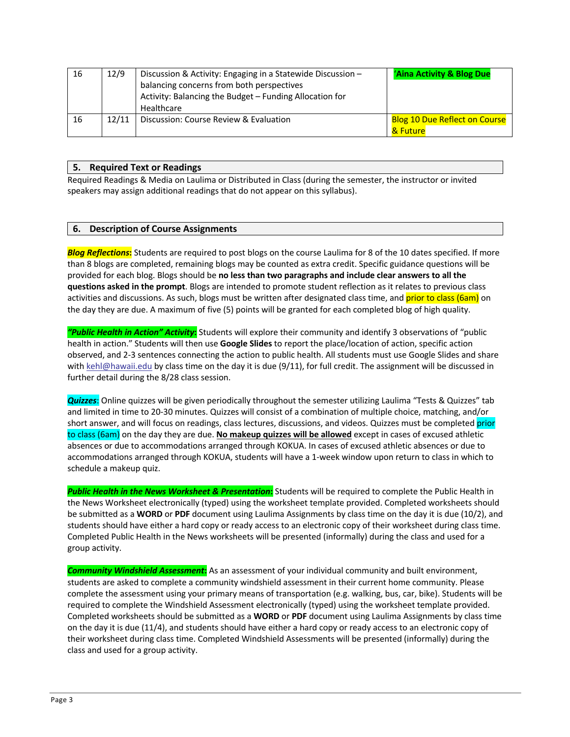| 16 | 12/9  | Discussion & Activity: Engaging in a Statewide Discussion -<br>balancing concerns from both perspectives<br>Activity: Balancing the Budget - Funding Allocation for<br>Healthcare | <b>Aina Activity &amp; Blog Due</b>              |
|----|-------|-----------------------------------------------------------------------------------------------------------------------------------------------------------------------------------|--------------------------------------------------|
| 16 | 12/11 | Discussion: Course Review & Evaluation                                                                                                                                            | <b>Blog 10 Due Reflect on Course</b><br>& Future |

#### **5. Required Text or Readings**

Required Readings & Media on Laulima or Distributed in Class (during the semester, the instructor or invited speakers may assign additional readings that do not appear on this syllabus).

## **6. Description of Course Assignments**

*Blog Reflections***:** Students are required to post blogs on the course Laulima for 8 of the 10 dates specified. If more than 8 blogs are completed, remaining blogs may be counted as extra credit. Specific guidance questions will be provided for each blog. Blogs should be **no less than two paragraphs and include clear answers to all the questions asked in the prompt**. Blogs are intended to promote student reflection as it relates to previous class activities and discussions. As such, blogs must be written after designated class time, and **prior to class (6am)** on the day they are due. A maximum of five (5) points will be granted for each completed blog of high quality.

*"Public Health in Action" Activity***:** Students will explore their community and identify 3 observations of "public health in action." Students will then use **Google Slides** to report the place/location of action, specific action observed, and 2-3 sentences connecting the action to public health. All students must use Google Slides and share with kehl@hawaii.edu by class time on the day it is due (9/11), for full credit. The assignment will be discussed in further detail during the 8/28 class session.

*Quizzes*: Online quizzes will be given periodically throughout the semester utilizing Laulima "Tests & Quizzes" tab and limited in time to 20-30 minutes. Quizzes will consist of a combination of multiple choice, matching, and/or short answer, and will focus on readings, class lectures, discussions, and videos. Quizzes must be completed prior to class (6am) on the day they are due. **No makeup quizzes will be allowed** except in cases of excused athletic absences or due to accommodations arranged through KOKUA. In cases of excused athletic absences or due to accommodations arranged through KOKUA, students will have a 1-week window upon return to class in which to schedule a makeup quiz.

*Public Health in the News Worksheet & Presentation***:** Students will be required to complete the Public Health in the News Worksheet electronically (typed) using the worksheet template provided. Completed worksheets should be submitted as a **WORD** or **PDF** document using Laulima Assignments by class time on the day it is due (10/2), and students should have either a hard copy or ready access to an electronic copy of their worksheet during class time. Completed Public Health in the News worksheets will be presented (informally) during the class and used for a group activity.

*Community Windshield Assessment***:** As an assessment of your individual community and built environment, students are asked to complete a community windshield assessment in their current home community. Please complete the assessment using your primary means of transportation (e.g. walking, bus, car, bike). Students will be required to complete the Windshield Assessment electronically (typed) using the worksheet template provided. Completed worksheets should be submitted as a **WORD** or **PDF** document using Laulima Assignments by class time on the day it is due (11/4), and students should have either a hard copy or ready access to an electronic copy of their worksheet during class time. Completed Windshield Assessments will be presented (informally) during the class and used for a group activity.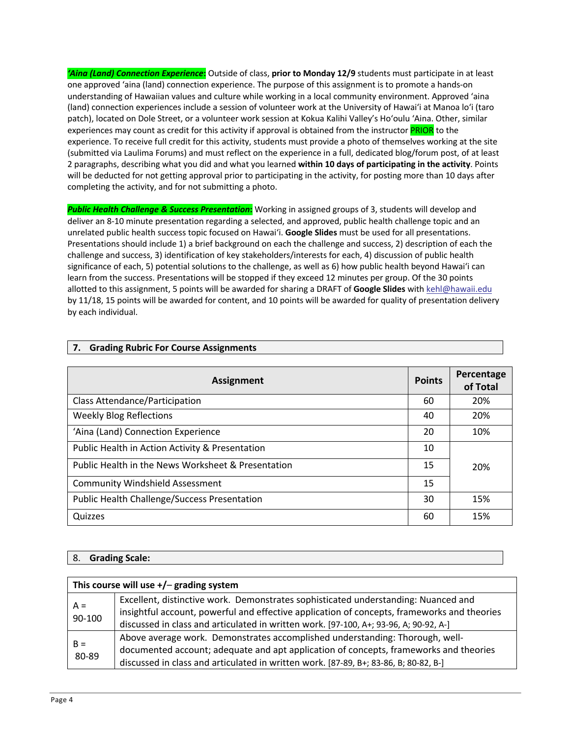*'Aina (Land) Connection Experience***:** Outside of class, **prior to Monday 12/9** students must participate in at least one approved 'aina (land) connection experience. The purpose of this assignment is to promote a hands-on understanding of Hawaiian values and culture while working in a local community environment. Approved 'aina (land) connection experiences include a session of volunteer work at the University of Hawai'i at Manoa lo'i (taro patch), located on Dole Street, or a volunteer work session at Kokua Kalihi Valley's Ho'oulu 'Aina. Other, similar experiences may count as credit for this activity if approval is obtained from the instructor **PRIOR** to the experience. To receive full credit for this activity, students must provide a photo of themselves working at the site (submitted via Laulima Forums) and must reflect on the experience in a full, dedicated blog/forum post, of at least 2 paragraphs, describing what you did and what you learned **within 10 days of participating in the activity**. Points will be deducted for not getting approval prior to participating in the activity, for posting more than 10 days after completing the activity, and for not submitting a photo.

*Public Health Challenge & Success Presentation***:** Working in assigned groups of 3, students will develop and deliver an 8-10 minute presentation regarding a selected, and approved, public health challenge topic and an unrelated public health success topic focused on Hawai'i. **Google Slides** must be used for all presentations. Presentations should include 1) a brief background on each the challenge and success, 2) description of each the challenge and success, 3) identification of key stakeholders/interests for each, 4) discussion of public health significance of each, 5) potential solutions to the challenge, as well as 6) how public health beyond Hawai'i can learn from the success. Presentations will be stopped if they exceed 12 minutes per group. Of the 30 points allotted to this assignment, 5 points will be awarded for sharing a DRAFT of **Google Slides** with kehl@hawaii.edu by 11/18, 15 points will be awarded for content, and 10 points will be awarded for quality of presentation delivery by each individual.

| <b>Assignment</b>                                   | <b>Points</b> | Percentage<br>of Total |
|-----------------------------------------------------|---------------|------------------------|
| Class Attendance/Participation                      | 60            | 20%                    |
| <b>Weekly Blog Reflections</b>                      | 40            | 20%                    |
| 'Aina (Land) Connection Experience                  | 20            | 10%                    |
| Public Health in Action Activity & Presentation     |               |                        |
| Public Health in the News Worksheet & Presentation  |               | 20%                    |
| <b>Community Windshield Assessment</b><br>15        |               |                        |
| <b>Public Health Challenge/Success Presentation</b> |               | 15%                    |
| Quizzes                                             | 60            | 15%                    |

## **7. Grading Rubric For Course Assignments**

#### 8. **Grading Scale:**

| This course will use $+/-$ grading system |                                                                                                                                                                                                                                                               |  |
|-------------------------------------------|---------------------------------------------------------------------------------------------------------------------------------------------------------------------------------------------------------------------------------------------------------------|--|
| $A =$<br>90-100                           | Excellent, distinctive work. Demonstrates sophisticated understanding: Nuanced and<br>insightful account, powerful and effective application of concepts, frameworks and theories                                                                             |  |
|                                           | discussed in class and articulated in written work. [97-100, A+; 93-96, A; 90-92, A-]                                                                                                                                                                         |  |
| $B =$<br>80-89                            | Above average work. Demonstrates accomplished understanding: Thorough, well-<br>documented account; adequate and apt application of concepts, frameworks and theories<br>discussed in class and articulated in written work. [87-89, B+; 83-86, B; 80-82, B-] |  |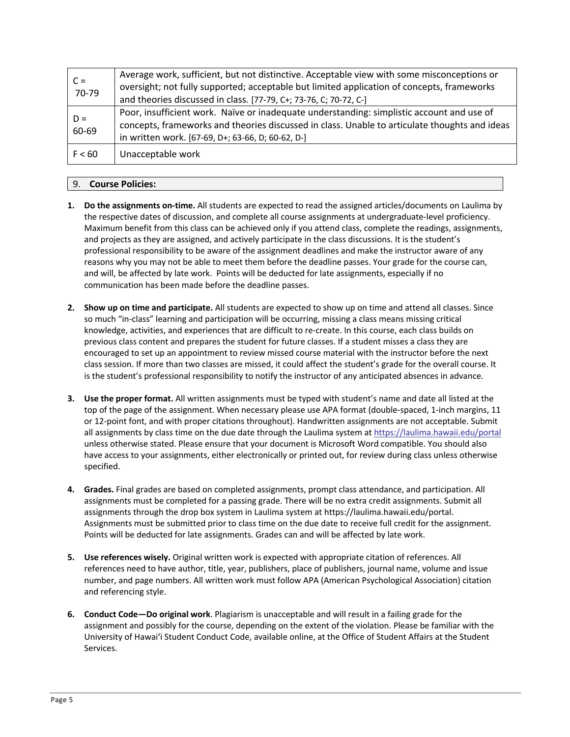| $C =$<br>70-79 | Average work, sufficient, but not distinctive. Acceptable view with some misconceptions or<br>oversight; not fully supported; acceptable but limited application of concepts, frameworks<br>and theories discussed in class. [77-79, C+; 73-76, C; 70-72, C-] |
|----------------|---------------------------------------------------------------------------------------------------------------------------------------------------------------------------------------------------------------------------------------------------------------|
| $D =$<br>60-69 | Poor, insufficient work. Naïve or inadequate understanding: simplistic account and use of<br>concepts, frameworks and theories discussed in class. Unable to articulate thoughts and ideas<br>in written work. [67-69, D+; 63-66, D; 60-62, D-]               |
| F < 60         | Unacceptable work                                                                                                                                                                                                                                             |

## 9. **Course Policies:**

- **1. Do the assignments on-time.** All students are expected to read the assigned articles/documents on Laulima by the respective dates of discussion, and complete all course assignments at undergraduate-level proficiency. Maximum benefit from this class can be achieved only if you attend class, complete the readings, assignments, and projects as they are assigned, and actively participate in the class discussions. It is the student's professional responsibility to be aware of the assignment deadlines and make the instructor aware of any reasons why you may not be able to meet them before the deadline passes. Your grade for the course can, and will, be affected by late work. Points will be deducted for late assignments, especially if no communication has been made before the deadline passes.
- **2. Show up on time and participate.** All students are expected to show up on time and attend all classes. Since so much "in-class" learning and participation will be occurring, missing a class means missing critical knowledge, activities, and experiences that are difficult to re-create. In this course, each class builds on previous class content and prepares the student for future classes. If a student misses a class they are encouraged to set up an appointment to review missed course material with the instructor before the next class session. If more than two classes are missed, it could affect the student's grade for the overall course. It is the student's professional responsibility to notify the instructor of any anticipated absences in advance.
- **3. Use the proper format.** All written assignments must be typed with student's name and date all listed at the top of the page of the assignment. When necessary please use APA format (double-spaced, 1-inch margins, 11 or 12-point font, and with proper citations throughout). Handwritten assignments are not acceptable. Submit all assignments by class time on the due date through the Laulima system at https://laulima.hawaii.edu/portal unless otherwise stated. Please ensure that your document is Microsoft Word compatible. You should also have access to your assignments, either electronically or printed out, for review during class unless otherwise specified.
- **4. Grades.** Final grades are based on completed assignments, prompt class attendance, and participation. All assignments must be completed for a passing grade. There will be no extra credit assignments. Submit all assignments through the drop box system in Laulima system at https://laulima.hawaii.edu/portal. Assignments must be submitted prior to class time on the due date to receive full credit for the assignment. Points will be deducted for late assignments. Grades can and will be affected by late work.
- **5. Use references wisely.** Original written work is expected with appropriate citation of references. All references need to have author, title, year, publishers, place of publishers, journal name, volume and issue number, and page numbers. All written work must follow APA (American Psychological Association) citation and referencing style.
- **6. Conduct Code—Do original work**. Plagiarism is unacceptable and will result in a failing grade for the assignment and possibly for the course, depending on the extent of the violation. Please be familiar with the University of Hawai'i Student Conduct Code, available online, at the Office of Student Affairs at the Student Services.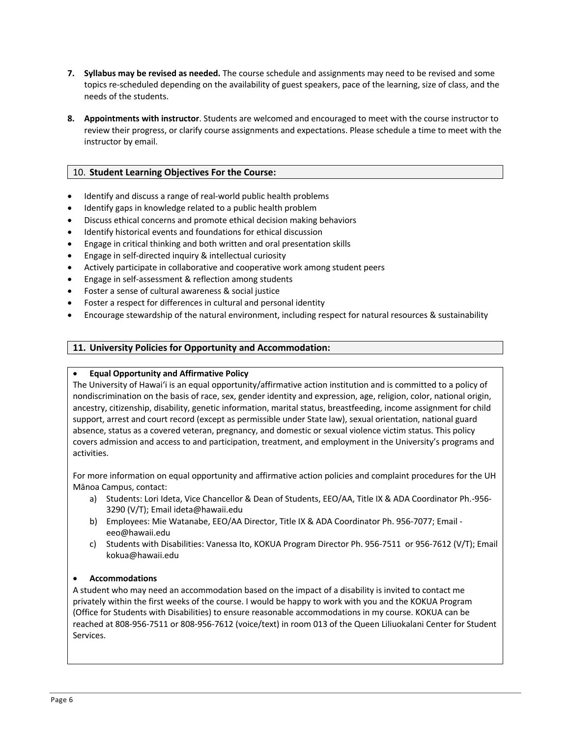- **7. Syllabus may be revised as needed.** The course schedule and assignments may need to be revised and some topics re-scheduled depending on the availability of guest speakers, pace of the learning, size of class, and the needs of the students.
- **8. Appointments with instructor**. Students are welcomed and encouraged to meet with the course instructor to review their progress, or clarify course assignments and expectations. Please schedule a time to meet with the instructor by email.

## 10. **Student Learning Objectives For the Course:**

- Identify and discuss a range of real-world public health problems
- Identify gaps in knowledge related to a public health problem
- Discuss ethical concerns and promote ethical decision making behaviors
- Identify historical events and foundations for ethical discussion
- Engage in critical thinking and both written and oral presentation skills
- Engage in self-directed inquiry & intellectual curiosity
- Actively participate in collaborative and cooperative work among student peers
- Engage in self-assessment & reflection among students
- Foster a sense of cultural awareness & social justice
- Foster a respect for differences in cultural and personal identity
- Encourage stewardship of the natural environment, including respect for natural resources & sustainability

## **11. University Policies for Opportunity and Accommodation:**

#### • **Equal Opportunity and Affirmative Policy**

The University of Hawai'i is an equal opportunity/affirmative action institution and is committed to a policy of nondiscrimination on the basis of race, sex, gender identity and expression, age, religion, color, national origin, ancestry, citizenship, disability, genetic information, marital status, breastfeeding, income assignment for child support, arrest and court record (except as permissible under State law), sexual orientation, national guard absence, status as a covered veteran, pregnancy, and domestic or sexual violence victim status. This policy covers admission and access to and participation, treatment, and employment in the University's programs and activities.

For more information on equal opportunity and affirmative action policies and complaint procedures for the UH Mānoa Campus, contact:

- a) Students: Lori Ideta, Vice Chancellor & Dean of Students, EEO/AA, Title IX & ADA Coordinator Ph.-956- 3290 (V/T); Email ideta@hawaii.edu
- b) Employees: Mie Watanabe, EEO/AA Director, Title IX & ADA Coordinator Ph. 956-7077; Email eeo@hawaii.edu
- c) Students with Disabilities: Vanessa Ito, KOKUA Program Director Ph. 956-7511 or 956-7612 (V/T); Email kokua@hawaii.edu

#### • **Accommodations**

A student who may need an accommodation based on the impact of a disability is invited to contact me privately within the first weeks of the course. I would be happy to work with you and the KOKUA Program (Office for Students with Disabilities) to ensure reasonable accommodations in my course. KOKUA can be reached at 808-956-7511 or 808-956-7612 (voice/text) in room 013 of the Queen Liliuokalani Center for Student Services.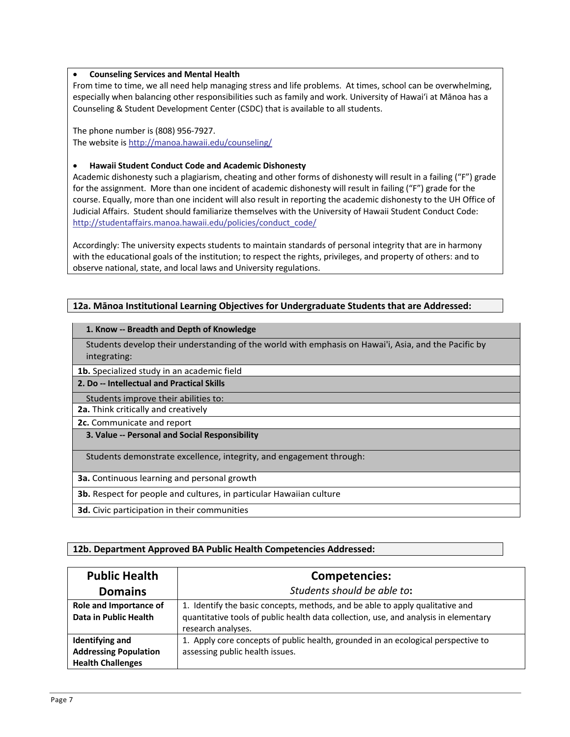#### • **Counseling Services and Mental Health**

From time to time, we all need help managing stress and life problems. At times, school can be overwhelming, especially when balancing other responsibilities such as family and work. University of Hawai'i at Mānoa has a Counseling & Student Development Center (CSDC) that is available to all students.

The phone number is (808) 956-7927. The website is http://manoa.hawaii.edu/counseling/

## • **Hawaii Student Conduct Code and Academic Dishonesty**

Academic dishonesty such a plagiarism, cheating and other forms of dishonesty will result in a failing ("F") grade for the assignment. More than one incident of academic dishonesty will result in failing ("F") grade for the course. Equally, more than one incident will also result in reporting the academic dishonesty to the UH Office of Judicial Affairs. Student should familiarize themselves with the University of Hawaii Student Conduct Code: http://studentaffairs.manoa.hawaii.edu/policies/conduct\_code/

Accordingly: The university expects students to maintain standards of personal integrity that are in harmony with the educational goals of the institution; to respect the rights, privileges, and property of others: and to observe national, state, and local laws and University regulations.

# **12a. Mānoa Institutional Learning Objectives for Undergraduate Students that are Addressed:**

#### **1. Know -- Breadth and Depth of Knowledge**

Students develop their understanding of the world with emphasis on Hawai'i, Asia, and the Pacific by integrating:

- **1b.** Specialized study in an academic field
- **2. Do -- Intellectual and Practical Skills**
- Students improve their abilities to:
- **2a.** Think critically and creatively
- **2c.** Communicate and report
- **3. Value -- Personal and Social Responsibility**

Students demonstrate excellence, integrity, and engagement through:

- **3a.** Continuous learning and personal growth
- **3b.** Respect for people and cultures, in particular Hawaiian culture
- **3d.** Civic participation in their communities

# **12b. Department Approved BA Public Health Competencies Addressed:**

| <b>Public Health</b>                                                               | Competencies:                                                                                                                                                                               |
|------------------------------------------------------------------------------------|---------------------------------------------------------------------------------------------------------------------------------------------------------------------------------------------|
| <b>Domains</b>                                                                     | Students should be able to:                                                                                                                                                                 |
| Role and Importance of<br>Data in Public Health                                    | 1. Identify the basic concepts, methods, and be able to apply qualitative and<br>quantitative tools of public health data collection, use, and analysis in elementary<br>research analyses. |
| <b>Identifying and</b><br><b>Addressing Population</b><br><b>Health Challenges</b> | 1. Apply core concepts of public health, grounded in an ecological perspective to<br>assessing public health issues.                                                                        |